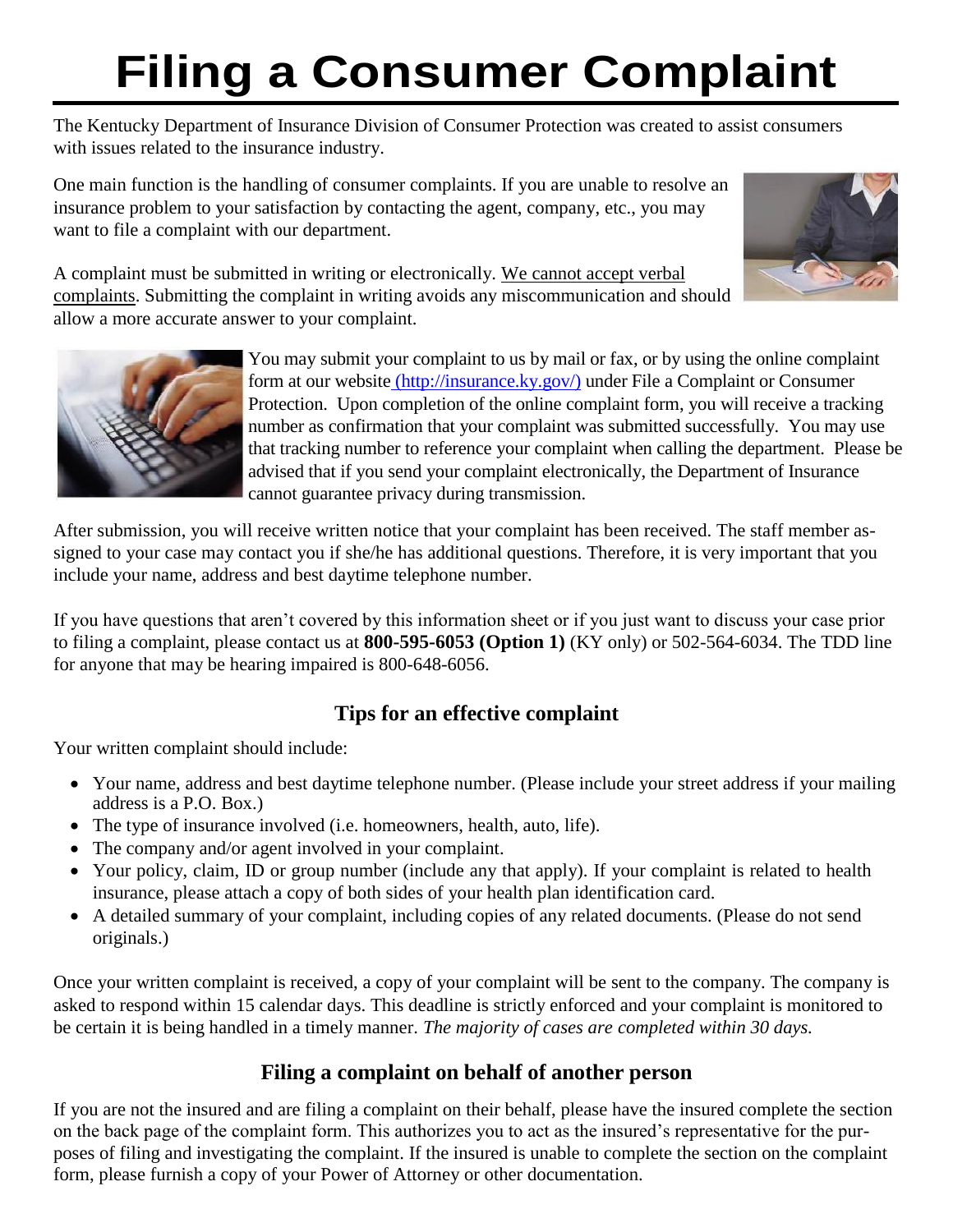# **Filing a Consumer Complaint**

The Kentucky Department of Insurance Division of Consumer Protection was created to assist consumers with issues related to the insurance industry.

One main function is the handling of consumer complaints. If you are unable to resolve an insurance problem to your satisfaction by contacting the agent, company, etc., you may want to file a complaint with our department.



A complaint must be submitted in writing or electronically. We cannot accept verbal complaints. Submitting the complaint in writing avoids any miscommunication and should allow a more accurate answer to your complaint.



You may submit your complaint to us by mail or fax, or by using the online complaint form at our website [\(http://insurance.ky.gov/\)](http://insurance.ky.gov/)) under File a Complaint or Consumer Protection. Upon completion of the online complaint form, you will receive a tracking number as confirmation that your complaint was submitted successfully. You may use that tracking number to reference your complaint when calling the department. Please be advised that if you send your complaint electronically, the Department of Insurance cannot guarantee privacy during transmission.

After submission, you will receive written notice that your complaint has been received. The staff member assigned to your case may contact you if she/he has additional questions. Therefore, it is very important that you include your name, address and best daytime telephone number.

If you have questions that aren't covered by this information sheet or if you just want to discuss your case prior to filing a complaint, please contact us at **800-595-6053 (Option 1)** (KY only) or 502-564-6034. The TDD line for anyone that may be hearing impaired is 800-648-6056.

## **Tips for an effective complaint**

Your written complaint should include:

- Your name, address and best daytime telephone number. (Please include your street address if your mailing address is a P.O. Box.)
- The type of insurance involved (i.e. homeowners, health, auto, life).
- The company and/or agent involved in your complaint.
- Your policy, claim, ID or group number (include any that apply). If your complaint is related to health insurance, please attach a copy of both sides of your health plan identification card.
- A detailed summary of your complaint, including copies of any related documents. (Please do not send originals.)

Once your written complaint is received, a copy of your complaint will be sent to the company. The company is asked to respond within 15 calendar days. This deadline is strictly enforced and your complaint is monitored to be certain it is being handled in a timely manner. *The majority of cases are completed within 30 days.*

## **Filing a complaint on behalf of another person**

If you are not the insured and are filing a complaint on their behalf, please have the insured complete the section on the back page of the complaint form. This authorizes you to act as the insured's representative for the purposes of filing and investigating the complaint. If the insured is unable to complete the section on the complaint form, please furnish a copy of your Power of Attorney or other documentation.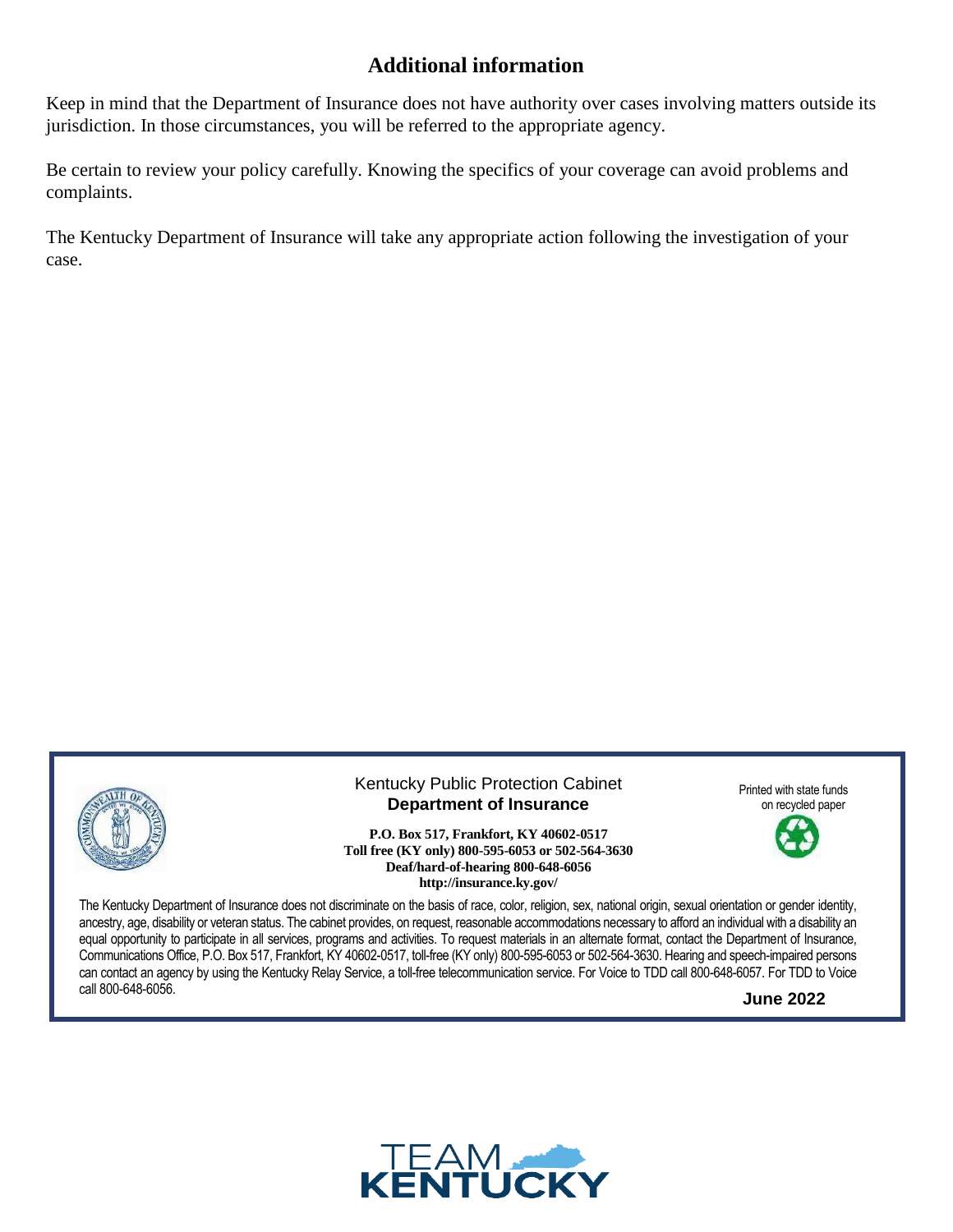#### **Additional information**

Keep in mind that the Department of Insurance does not have authority over cases involving matters outside its jurisdiction. In those circumstances, you will be referred to the appropriate agency.

Be certain to review your policy carefully. Knowing the specifics of your coverage can avoid problems and complaints.

The Kentucky Department of Insurance will take any appropriate action following the investigation of your case.



Kentucky Public Protection Cabinet **Department of Insurance**

**P.O. Box 517, Frankfort, KY 40602-0517 Toll free (KY only) 800-595-6053 or 502-564-3630 Deaf/hard-of-hearing 800-648-6056 http://insurance.ky.gov/**

Printed with state funds on recycled paper



The Kentucky Department of Insurance does not discriminate on the basis of race, color, religion, sex, national origin, sexual orientation or gender identity, ancestry, age, disability or veteran status. The cabinet provides, on request, reasonable accommodations necessary to afford an individual with a disability an equal opportunity to participate in all services, programs and activities. To request materials in an alternate format, contact the Department of Insurance, Communications Office, P.O. Box 517, Frankfort, KY 40602-0517, toll-free (KY only) 800-595-6053 or 502-564-3630. Hearing and speech-impaired persons can contact an agency by using the Kentucky Relay Service, a toll-free telecommunication service. For Voice to TDD call 800-648-6057. For TDD to Voice call 800-648-6056.

**June 2022**

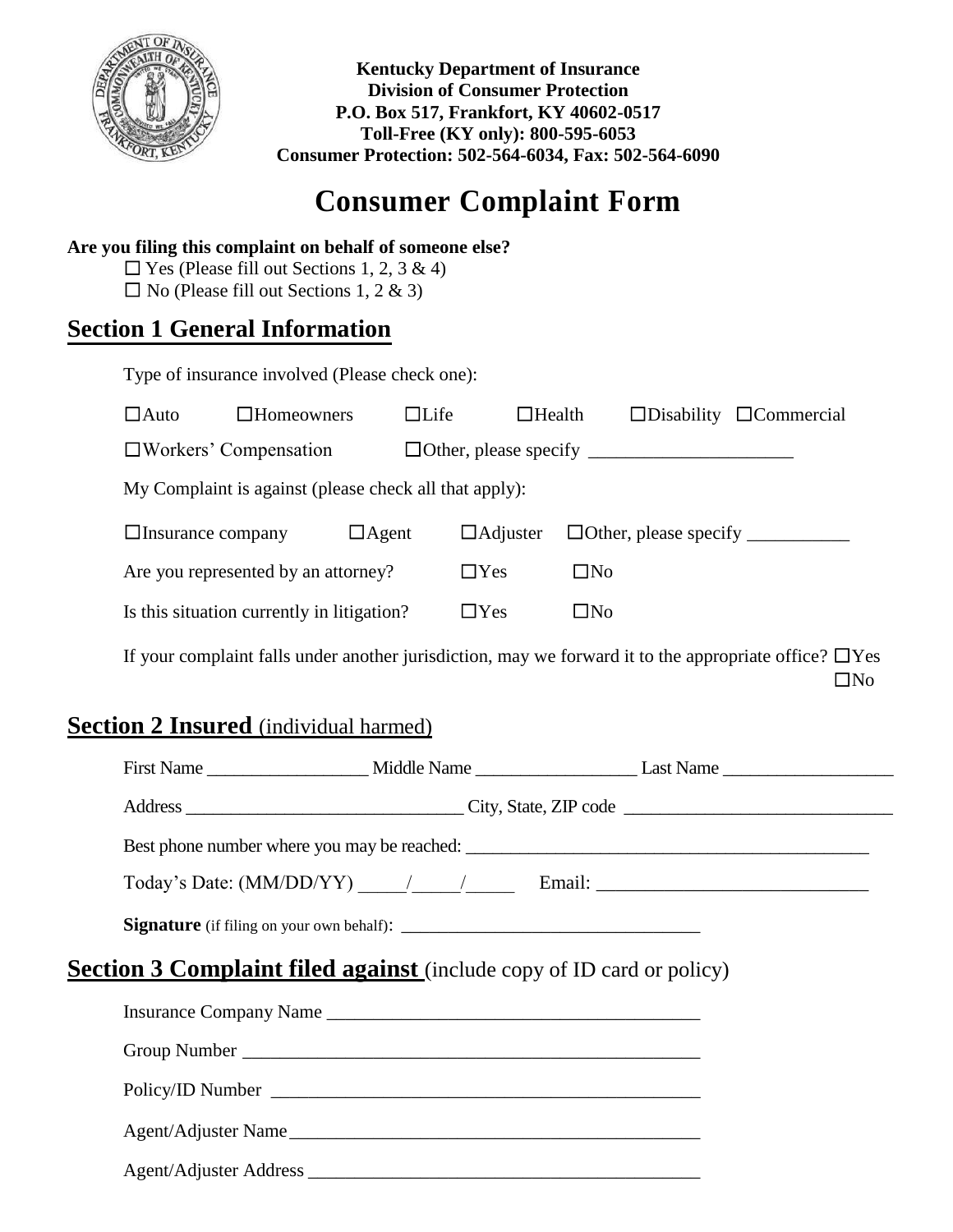

**Kentucky Department of Insurance Division of Consumer Protection P.O. Box 517, Frankfort, KY 40602-0517 Toll-Free (KY only): 800-595-6053 Consumer Protection: 502-564-6034, Fax: 502-564-6090**

# **Consumer Complaint Form**

#### **Are you filing this complaint on behalf of someone else?**

 $\Box$  Yes (Please fill out Sections 1, 2, 3 & 4)  $\Box$  No (Please fill out Sections 1, 2 & 3)

# **Section 1 General Information**

Type of insurance involved (Please check one):

| $\Box$ Auto                                            | $\Box$ Homeowners | $\Box$ Life  | $\Box$ Health   |           | $\Box$ Disability $\Box$ Commercial |
|--------------------------------------------------------|-------------------|--------------|-----------------|-----------|-------------------------------------|
| $\Box$ Workers' Compensation                           |                   |              |                 |           |                                     |
| My Complaint is against (please check all that apply): |                   |              |                 |           |                                     |
| $\Box$ Insurance company                               |                   | $\Box$ Agent | $\Box$ Adjuster |           | $\Box$ Other, please specify $\Box$ |
| Are you represented by an attorney?                    |                   |              | $\Box$ Yes      | $\Box$ No |                                     |
| Is this situation currently in litigation?             |                   |              | $\Box$ Yes      | $\Box$ No |                                     |
|                                                        |                   |              |                 |           |                                     |

If your complaint falls under another jurisdiction, may we forward it to the appropriate office?  $\Box$  Yes  $\square$ No

# **<u>Section 2 Insured</u>** (individual harmed)

| <b>Section 3 Complaint filed against</b> (include copy of ID card or policy) |                        |  |  |  |  |
|------------------------------------------------------------------------------|------------------------|--|--|--|--|
|                                                                              | Insurance Company Name |  |  |  |  |
|                                                                              |                        |  |  |  |  |
|                                                                              |                        |  |  |  |  |
|                                                                              | Agent/Adjuster Name    |  |  |  |  |
|                                                                              |                        |  |  |  |  |